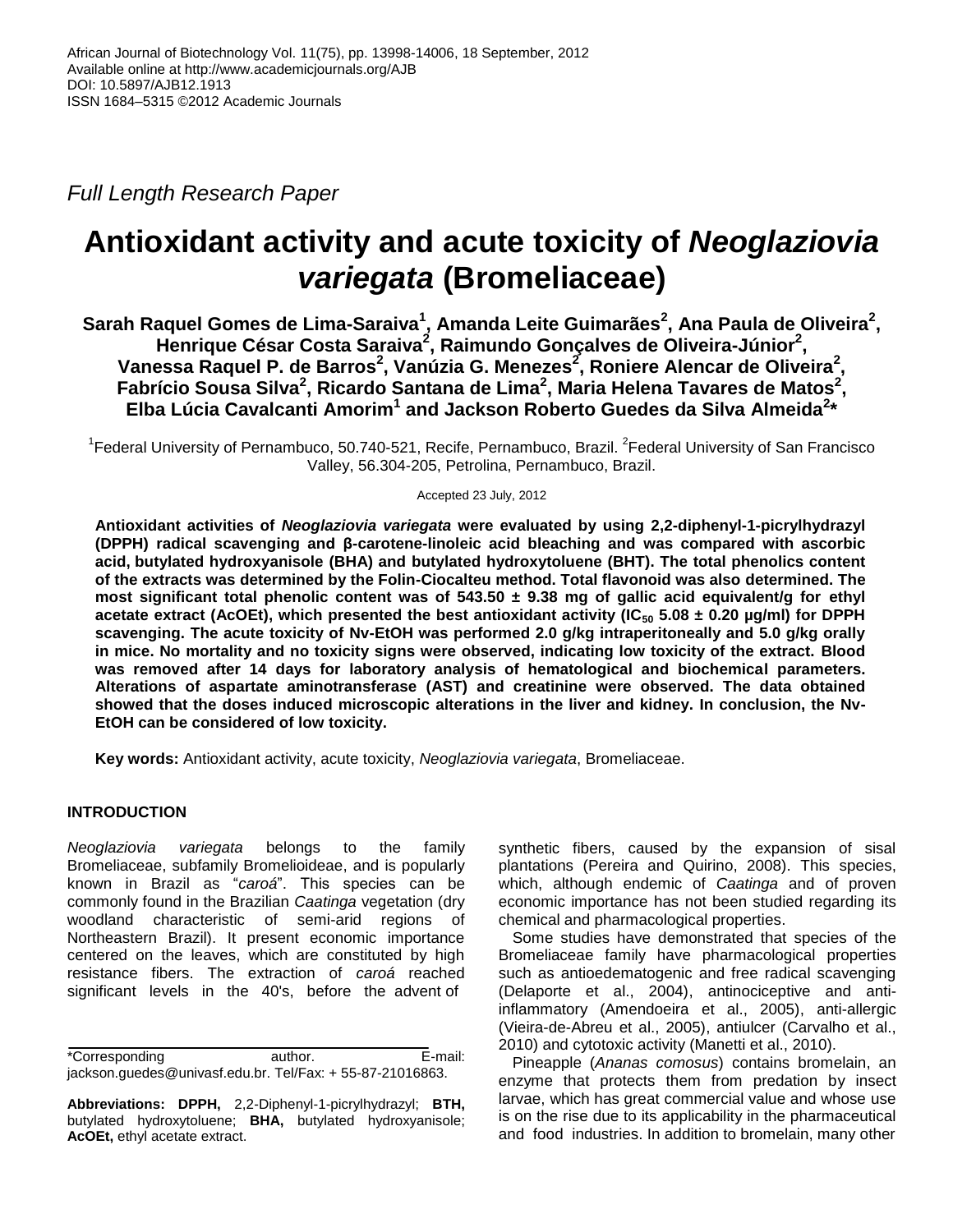*Full Length Research Paper*

# **Antioxidant activity and acute toxicity of** *Neoglaziovia variegata* **(Bromeliaceae)**

 $\boldsymbol{\mathsf{S}}$ arah Raquel Gomes de Lima-Saraiva<sup>1</sup>, Amanda Leite Guimarães<sup>2</sup>, Ana Paula de Oliveira<sup>2</sup>, **Henrique César Costa Saraiva<sup>2</sup> , Raimundo Gonçalves de Oliveira-Júnior<sup>2</sup> , Vanessa Raquel P. de Barros<sup>2</sup> , Vanúzia G. Menezes<sup>2</sup> , Roniere Alencar de Oliveira<sup>2</sup> , Fabrício Sousa Silva<sup>2</sup> , Ricardo Santana de Lima<sup>2</sup> , Maria Helena Tavares de Matos<sup>2</sup> , Elba Lúcia Cavalcanti Amorim<sup>1</sup> and Jackson Roberto Guedes da Silva Almeida<sup>2</sup> \***

<sup>1</sup>Federal University of Pernambuco, 50.740-521, Recife, Pernambuco, Brazil. <sup>2</sup>Federal University of San Francisco Valley, 56.304-205, Petrolina, Pernambuco, Brazil.

Accepted 23 July, 2012

**Antioxidant activities of** *Neoglaziovia variegata* **were evaluated by using 2,2-diphenyl-1-picrylhydrazyl (DPPH) radical scavenging and β-carotene-linoleic acid bleaching and was compared with ascorbic acid, butylated hydroxyanisole (BHA) and butylated hydroxytoluene (BHT). The total phenolics content of the extracts was determined by the Folin-Ciocalteu method. Total flavonoid was also determined. The most significant total phenolic content was of 543.50 ± 9.38 mg of gallic acid equivalent/g for ethyl acetate extract (AcOEt), which presented the best antioxidant activity (IC<sup>50</sup> 5.08 ± 0.20 µg/ml) for DPPH scavenging. The acute toxicity of Nv-EtOH was performed 2.0 g/kg intraperitoneally and 5.0 g/kg orally in mice. No mortality and no toxicity signs were observed, indicating low toxicity of the extract. Blood was removed after 14 days for laboratory analysis of hematological and biochemical parameters. Alterations of aspartate aminotransferase (AST) and creatinine were observed. The data obtained showed that the doses induced microscopic alterations in the liver and kidney. In conclusion, the Nv-EtOH can be considered of low toxicity.**

**Key words:** Antioxidant activity, acute toxicity, *Neoglaziovia variegata*, Bromeliaceae.

# **INTRODUCTION**

*Neoglaziovia variegata* belongs to the family Bromeliaceae, subfamily Bromelioideae, and is popularly known in Brazil as "*caroá*". This species can be commonly found in the Brazilian *Caatinga* vegetation (dry woodland characteristic of semi-arid regions of Northeastern Brazil). It present economic importance centered on the leaves, which are constituted by high resistance fibers. The extraction of *caroá* reached significant levels in the 40's, before the advent of

\*Corresponding author. E-mail: jackson.guedes@univasf.edu.br. Tel/Fax: + 55-87-21016863.

**Abbreviations: DPPH,** 2,2-Diphenyl-1-picrylhydrazyl; **BTH,** butylated hydroxytoluene; **BHA,** butylated hydroxyanisole; **AcOEt,** ethyl acetate extract.

synthetic fibers, caused by the expansion of sisal plantations (Pereira and Quirino, 2008). This species, which, although endemic of *Caatinga* and of proven economic importance has not been studied regarding its chemical and pharmacological properties.

Some studies have demonstrated that species of the Bromeliaceae family have pharmacological properties such as antioedematogenic and free radical scavenging (Delaporte et al., 2004), antinociceptive and antiinflammatory (Amendoeira et al., 2005), anti-allergic (Vieira-de-Abreu et al., 2005), antiulcer (Carvalho et al., 2010) and cytotoxic activity (Manetti et al., 2010).

Pineapple (*Ananas comosus*) contains bromelain, an enzyme that protects them from predation by insect larvae, which has great commercial value and whose use is on the rise due to its applicability in the pharmaceutical and food industries. In addition to bromelain, many other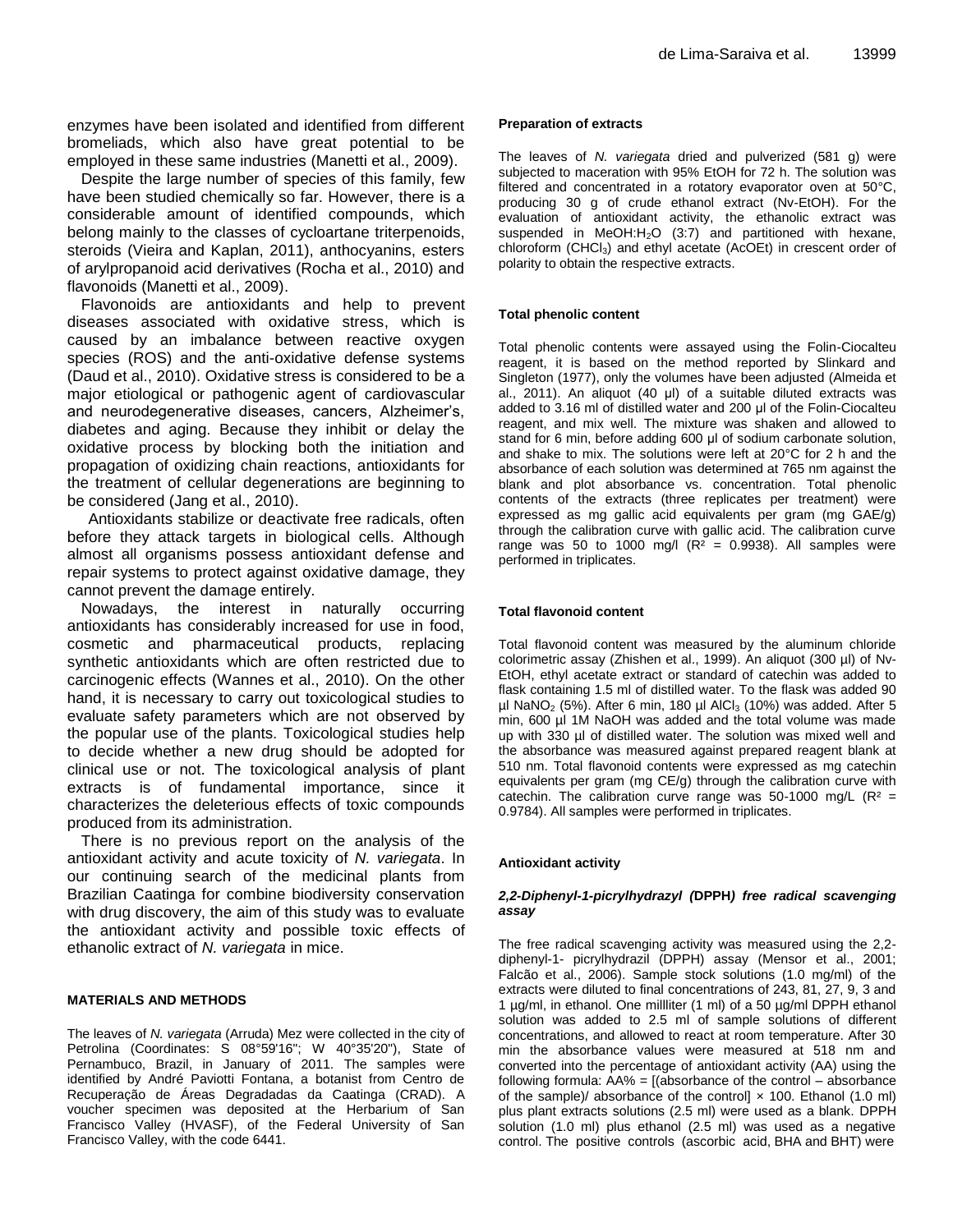enzymes have been isolated and identified from different bromeliads, which also have great potential to be employed in these same industries (Manetti et al., 2009).

Despite the large number of species of this family, few have been studied chemically so far. However, there is a considerable amount of identified compounds, which belong mainly to the classes of cycloartane triterpenoids, steroids (Vieira and Kaplan, 2011), anthocyanins, esters of arylpropanoid acid derivatives (Rocha et al., 2010) and flavonoids (Manetti et al., 2009).

Flavonoids are antioxidants and help to prevent diseases associated with oxidative stress, which is caused by an imbalance between reactive oxygen species (ROS) and the anti-oxidative defense systems (Daud et al., 2010). Oxidative stress is considered to be a major etiological or pathogenic agent of cardiovascular and neurodegenerative diseases, cancers, Alzheimer's, diabetes and aging. Because they inhibit or delay the oxidative process by blocking both the initiation and propagation of oxidizing chain reactions, antioxidants for the treatment of cellular degenerations are beginning to be considered (Jang et al., 2010).

Antioxidants stabilize or deactivate free radicals, often before they attack targets in biological cells. Although almost all organisms possess antioxidant defense and repair systems to protect against oxidative damage, they cannot prevent the damage entirely.

Nowadays, the interest in naturally occurring antioxidants has considerably increased for use in food, cosmetic and pharmaceutical products, replacing synthetic antioxidants which are often restricted due to carcinogenic effects (Wannes et al., 2010). On the other hand, it is necessary to carry out toxicological studies to evaluate safety parameters which are not observed by the popular use of the plants. Toxicological studies help to decide whether a new drug should be adopted for clinical use or not. The toxicological analysis of plant extracts is of fundamental importance, since it characterizes the deleterious effects of toxic compounds produced from its administration.

There is no previous report on the analysis of the antioxidant activity and acute toxicity of *N. variegata*. In our continuing search of the medicinal plants from Brazilian Caatinga for combine biodiversity conservation with drug discovery, the aim of this study was to evaluate the antioxidant activity and possible toxic effects of ethanolic extract of *N. variegata* in mice.

# **MATERIALS AND METHODS**

The leaves of *N. variegata* (Arruda) Mez were collected in the city of Petrolina (Coordinates: S 08°59'16"; W 40°35'20"), State of Pernambuco, Brazil, in January of 2011. The samples were identified by André Paviotti Fontana, a botanist from Centro de Recuperação de Áreas Degradadas da Caatinga (CRAD). A voucher specimen was deposited at the Herbarium of San Francisco Valley (HVASF), of the Federal University of San Francisco Valley, with the code 6441.

## **Preparation of extracts**

The leaves of *N. variegata* dried and pulverized (581 g) were subjected to maceration with 95% EtOH for 72 h. The solution was filtered and concentrated in a rotatory evaporator oven at 50°C, producing 30 g of crude ethanol extract (Nv-EtOH). For the evaluation of antioxidant activity, the ethanolic extract was suspended in MeOH: $H<sub>2</sub>O$  (3:7) and partitioned with hexane, chloroform (CHCl<sub>3</sub>) and ethyl acetate (AcOEt) in crescent order of polarity to obtain the respective extracts.

## **Total phenolic content**

Total phenolic contents were assayed using the Folin-Ciocalteu reagent, it is based on the method reported by Slinkard and Singleton (1977), only the volumes have been adjusted (Almeida et al., 2011). An aliquot (40 μl) of a suitable diluted extracts was added to 3.16 ml of distilled water and 200 μl of the Folin-Ciocalteu reagent, and mix well. The mixture was shaken and allowed to stand for 6 min, before adding 600 μl of sodium carbonate solution, and shake to mix. The solutions were left at 20°C for 2 h and the absorbance of each solution was determined at 765 nm against the blank and plot absorbance vs. concentration. Total phenolic contents of the extracts (three replicates per treatment) were expressed as mg gallic acid equivalents per gram (mg GAE/g) through the calibration curve with gallic acid. The calibration curve range was 50 to 1000 mg/l  $(R^2 = 0.9938)$ . All samples were performed in triplicates.

## **Total flavonoid content**

Total flavonoid content was measured by the aluminum chloride colorimetric assay (Zhishen et al., 1999). An aliquot (300 µl) of Nv-EtOH, ethyl acetate extract or standard of catechin was added to flask containing 1.5 ml of distilled water. To the flask was added 90  $\mu$ l NaNO<sub>2</sub> (5%). After 6 min, 180  $\mu$ l AlCl<sub>3</sub> (10%) was added. After 5 min, 600 µl 1M NaOH was added and the total volume was made up with 330 µl of distilled water. The solution was mixed well and the absorbance was measured against prepared reagent blank at 510 nm. Total flavonoid contents were expressed as mg catechin equivalents per gram (mg CE/g) through the calibration curve with catechin. The calibration curve range was 50-1000 mg/L ( $R^2$  = 0.9784). All samples were performed in triplicates.

# **Antioxidant activity**

## *2,2-Diphenyl-1-picrylhydrazyl (***DPPH***) free radical scavenging assay*

The free radical scavenging activity was measured using the 2,2 diphenyl-1- picrylhydrazil (DPPH) assay (Mensor et al., 2001; Falcão et al., 2006). Sample stock solutions (1.0 mg/ml) of the extracts were diluted to final concentrations of 243, 81, 27, 9, 3 and 1 µg/ml, in ethanol. One millliter (1 ml) of a 50 µg/ml DPPH ethanol solution was added to 2.5 ml of sample solutions of different concentrations, and allowed to react at room temperature. After 30 min the absorbance values were measured at 518 nm and converted into the percentage of antioxidant activity (AA) using the following formula: AA% = [(absorbance of the control – absorbance of the sample)/ absorbance of the control]  $\times$  100. Ethanol (1.0 ml) plus plant extracts solutions (2.5 ml) were used as a blank. DPPH solution (1.0 ml) plus ethanol (2.5 ml) was used as a negative control. The positive controls (ascorbic acid, BHA and BHT) were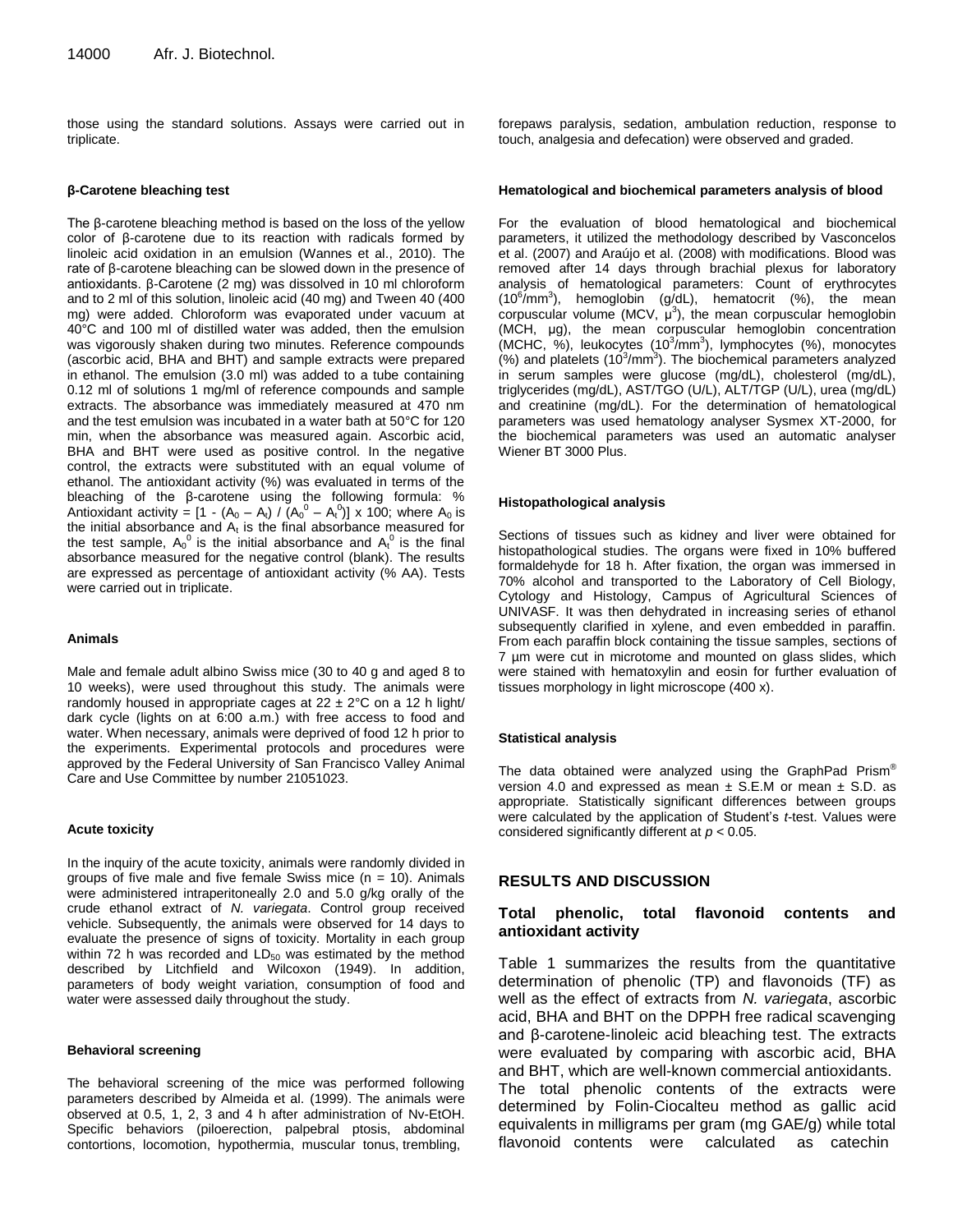those using the standard solutions. Assays were carried out in triplicate.

#### **β-Carotene bleaching test**

The β-carotene bleaching method is based on the loss of the yellow color of β-carotene due to its reaction with radicals formed by linoleic acid oxidation in an emulsion (Wannes et al., 2010). The rate of β-carotene bleaching can be slowed down in the presence of antioxidants. β-Carotene (2 mg) was dissolved in 10 ml chloroform and to 2 ml of this solution, linoleic acid (40 mg) and Tween 40 (400 mg) were added. Chloroform was evaporated under vacuum at 40°C and 100 ml of distilled water was added, then the emulsion was vigorously shaken during two minutes. Reference compounds (ascorbic acid, BHA and BHT) and sample extracts were prepared in ethanol. The emulsion (3.0 ml) was added to a tube containing 0.12 ml of solutions 1 mg/ml of reference compounds and sample extracts. The absorbance was immediately measured at 470 nm and the test emulsion was incubated in a water bath at 50°C for 120 min, when the absorbance was measured again. Ascorbic acid, BHA and BHT were used as positive control. In the negative control, the extracts were substituted with an equal volume of ethanol. The antioxidant activity (%) was evaluated in terms of the bleaching of the β-carotene using the following formula: % Antioxidant activity =  $[1 - (A_0 - A_t) / (A_0^0 - A_t^0)]$  x 100; where  $A_0$  is the initial absorbance and  $A_t$  is the final absorbance measured for the test sample,  $A_0{}^0$  is the initial absorbance and  $A_t^0$  is the final absorbance measured for the negative control (blank). The results are expressed as percentage of antioxidant activity (% AA). Tests were carried out in triplicate.

#### **Animals**

Male and female adult albino Swiss mice (30 to 40 g and aged 8 to 10 weeks), were used throughout this study. The animals were randomly housed in appropriate cages at  $22 \pm 2^{\circ}$ C on a 12 h light/ dark cycle (lights on at 6:00 a.m.) with free access to food and water. When necessary, animals were deprived of food 12 h prior to the experiments. Experimental protocols and procedures were approved by the Federal University of San Francisco Valley Animal Care and Use Committee by number 21051023.

### **Acute toxicity**

In the inquiry of the acute toxicity, animals were randomly divided in groups of five male and five female Swiss mice  $(n = 10)$ . Animals were administered intraperitoneally 2.0 and 5.0 g/kg orally of the crude ethanol extract of *N. variegata*. Control group received vehicle. Subsequently, the animals were observed for 14 days to evaluate the presence of signs of toxicity. Mortality in each group within 72 h was recorded and  $LD_{50}$  was estimated by the method described by Litchfield and Wilcoxon (1949). In addition, parameters of body weight variation, consumption of food and water were assessed daily throughout the study.

## **Behavioral screening**

The behavioral screening of the mice was performed following parameters described by Almeida et al. (1999). The animals were observed at 0.5, 1, 2, 3 and 4 h after administration of Nv-EtOH. Specific behaviors (piloerection, palpebral ptosis, abdominal contortions, locomotion, hypothermia, muscular tonus, trembling,

forepaws paralysis, sedation, ambulation reduction, response to touch, analgesia and defecation) were observed and graded.

#### **Hematological and biochemical parameters analysis of blood**

For the evaluation of blood hematological and biochemical parameters, it utilized the methodology described by Vasconcelos et al. (2007) and Araújo et al. (2008) with modifications. Blood was removed after 14 days through brachial plexus for laboratory analysis of hematological parameters: Count of erythrocytes  $(10^6/\text{mm}^3)$ , hemoglobin  $(g/dL)$ , hematocrit  $(%)$ , the mean corpuscular volume (MCV,  $\mu^3$ ), the mean corpuscular hemoglobin (MCH, μg), the mean corpuscular hemoglobin concentration (MCHC, %), leukocytes (10<sup>3</sup>/mm<sup>3</sup>), lymphocytes (%), monocytes  $(%)$  and platelets  $(10^3/\text{mm}^3)$ . The biochemical parameters analyzed in serum samples were glucose (mg/dL), cholesterol (mg/dL), triglycerides (mg/dL), AST/TGO (U/L), ALT/TGP (U/L), urea (mg/dL) and creatinine (mg/dL). For the determination of hematological parameters was used hematology analyser Sysmex XT-2000, for the biochemical parameters was used an automatic analyser Wiener BT 3000 Plus.

#### **Histopathological analysis**

Sections of tissues such as kidney and liver were obtained for histopathological studies. The organs were fixed in 10% buffered formaldehyde for 18 h. After fixation, the organ was immersed in 70% alcohol and transported to the Laboratory of Cell Biology, Cytology and Histology, Campus of Agricultural Sciences of UNIVASF. It was then dehydrated in increasing series of ethanol subsequently clarified in xylene, and even embedded in paraffin. From each paraffin block containing the tissue samples, sections of 7 µm were cut in microtome and mounted on glass slides, which were stained with hematoxylin and eosin for further evaluation of tissues morphology in light microscope (400 x).

#### **Statistical analysis**

The data obtained were analyzed using the GraphPad Prism® version 4.0 and expressed as mean  $\pm$  S.E.M or mean  $\pm$  S.D. as appropriate. Statistically significant differences between groups were calculated by the application of Student's *t*-test. Values were considered significantly different at *p* < 0.05.

# **RESULTS AND DISCUSSION**

# **Total phenolic, total flavonoid contents and antioxidant activity**

Table 1 summarizes the results from the quantitative determination of phenolic (TP) and flavonoids (TF) as well as the effect of extracts from *N. variegata*, ascorbic acid, BHA and BHT on the DPPH free radical scavenging and β-carotene-linoleic acid bleaching test. The extracts were evaluated by comparing with ascorbic acid, BHA and BHT, which are well-known commercial antioxidants. The total phenolic contents of the extracts were determined by Folin-Ciocalteu method as gallic acid equivalents in milligrams per gram (mg GAE/g) while total flavonoid contents were calculated as catechin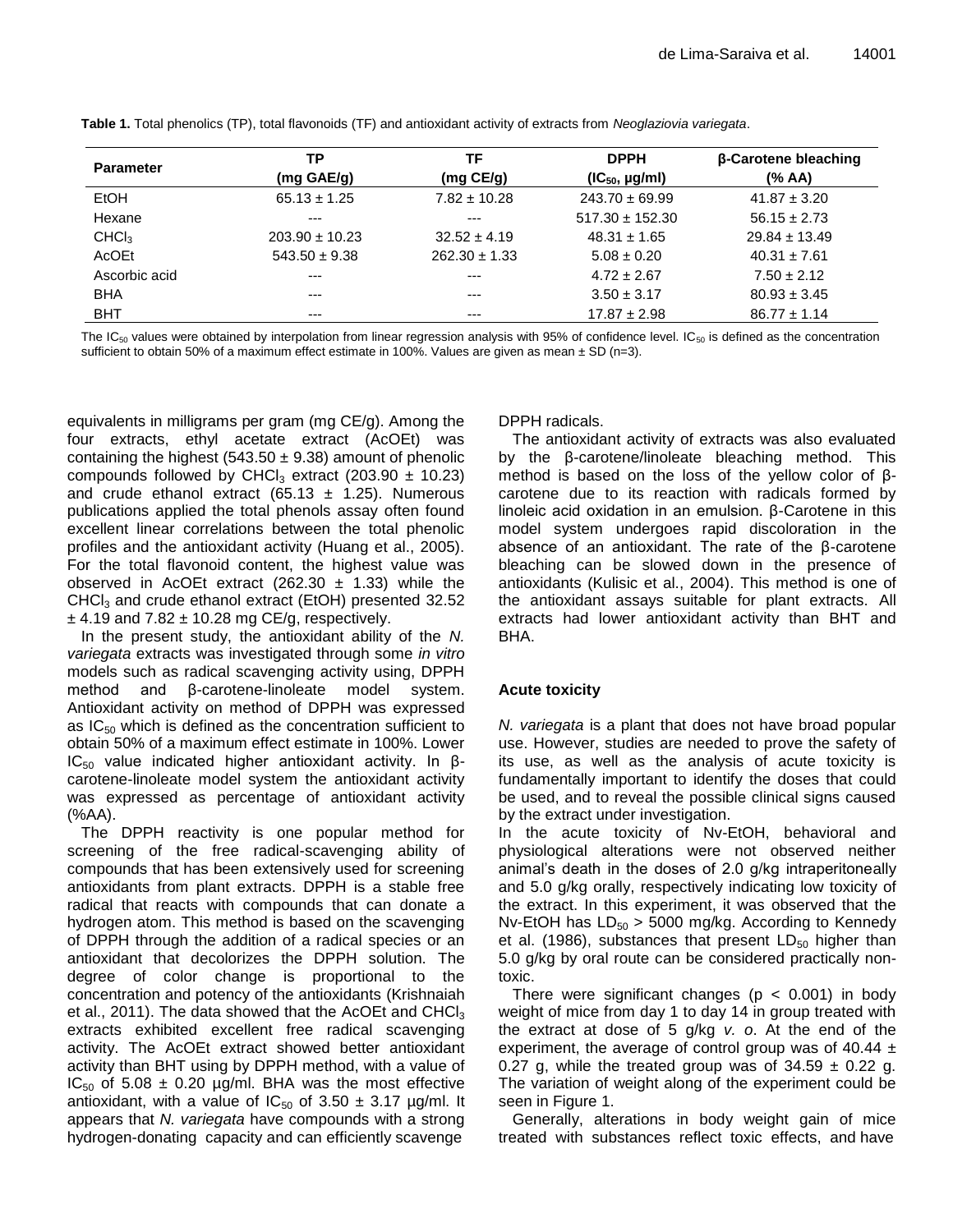| <b>Parameter</b>  | ТP                   | ΤF                | <b>DPPH</b>         | β-Carotene bleaching |
|-------------------|----------------------|-------------------|---------------------|----------------------|
|                   | $(mg \text{ GAE/g})$ | (mg CE/g)         | $(IC_{50}$ , µg/ml) | (% AA)               |
| EtOH              | $65.13 \pm 1.25$     | $7.82 \pm 10.28$  | $243.70 \pm 69.99$  | $41.87 \pm 3.20$     |
| Hexane            | $---$                | $---$             | $517.30 \pm 152.30$ | $56.15 \pm 2.73$     |
| CHCl <sub>3</sub> | $203.90 \pm 10.23$   | $32.52 \pm 4.19$  | $48.31 \pm 1.65$    | $29.84 \pm 13.49$    |
| AcOEt             | $543.50 \pm 9.38$    | $262.30 \pm 1.33$ | $5.08 \pm 0.20$     | $40.31 \pm 7.61$     |
| Ascorbic acid     | $---$                | $- - -$           | $4.72 \pm 2.67$     | $7.50 \pm 2.12$      |
| <b>BHA</b>        | $---$                | $---$             | $3.50 \pm 3.17$     | $80.93 \pm 3.45$     |
| <b>BHT</b>        | $---$                | $--$              | $17.87 \pm 2.98$    | $86.77 \pm 1.14$     |

**Table 1.** Total phenolics (TP), total flavonoids (TF) and antioxidant activity of extracts from *Neoglaziovia variegata*.

The IC<sub>50</sub> values were obtained by interpolation from linear regression analysis with 95% of confidence level. IC<sub>50</sub> is defined as the concentration sufficient to obtain 50% of a maximum effect estimate in 100%. Values are given as mean  $\pm$  SD (n=3).

equivalents in milligrams per gram (mg CE/g). Among the four extracts, ethyl acetate extract (AcOEt) was containing the highest (543.50  $\pm$  9.38) amount of phenolic compounds followed by CHCl<sub>3</sub> extract (203.90  $\pm$  10.23) and crude ethanol extract (65.13  $\pm$  1.25). Numerous publications applied the total phenols assay often found excellent linear correlations between the total phenolic profiles and the antioxidant activity (Huang et al., 2005). For the total flavonoid content, the highest value was observed in AcOEt extract (262.30  $\pm$  1.33) while the  $CHCl<sub>3</sub>$  and crude ethanol extract (EtOH) presented 32.52  $\pm$  4.19 and 7.82  $\pm$  10.28 mg CE/g, respectively.

In the present study, the antioxidant ability of the *N. variegata* extracts was investigated through some *in vitro* models such as radical scavenging activity using, DPPH method and β-carotene-linoleate model system. Antioxidant activity on method of DPPH was expressed as  $IC_{50}$  which is defined as the concentration sufficient to obtain 50% of a maximum effect estimate in 100%. Lower IC<sub>50</sub> value indicated higher antioxidant activity. In βcarotene-linoleate model system the antioxidant activity was expressed as percentage of antioxidant activity (%AA).

The DPPH reactivity is one popular method for screening of the free radical-scavenging ability of compounds that has been extensively used for screening antioxidants from plant extracts. DPPH is a stable free radical that reacts with compounds that can donate a hydrogen atom. This method is based on the scavenging of DPPH through the addition of a radical species or an antioxidant that decolorizes the DPPH solution. The degree of color change is proportional to the concentration and potency of the antioxidants (Krishnaiah et al., 2011). The data showed that the AcOEt and CHCl $_3$ extracts exhibited excellent free radical scavenging activity. The AcOEt extract showed better antioxidant activity than BHT using by DPPH method, with a value of  $IC_{50}$  of 5.08  $\pm$  0.20 µg/ml. BHA was the most effective antioxidant, with a value of  $IC_{50}$  of 3.50  $\pm$  3.17 µg/ml. It appears that *N. variegata* have compounds with a strong hydrogen-donating capacity and can efficiently scavenge

DPPH radicals.

The antioxidant activity of extracts was also evaluated by the β-carotene/linoleate bleaching method. This method is based on the loss of the yellow color of βcarotene due to its reaction with radicals formed by linoleic acid oxidation in an emulsion. β-Carotene in this model system undergoes rapid discoloration in the absence of an antioxidant. The rate of the β-carotene bleaching can be slowed down in the presence of antioxidants (Kulisic et al., 2004). This method is one of the antioxidant assays suitable for plant extracts. All extracts had lower antioxidant activity than BHT and BHA.

# **Acute toxicity**

*N. variegata* is a plant that does not have broad popular use. However, studies are needed to prove the safety of its use, as well as the analysis of acute toxicity is fundamentally important to identify the doses that could be used, and to reveal the possible clinical signs caused by the extract under investigation.

In the acute toxicity of Nv-EtOH, behavioral and physiological alterations were not observed neither animal's death in the doses of 2.0 g/kg intraperitoneally and 5.0 g/kg orally, respectively indicating low toxicity of the extract. In this experiment, it was observed that the Nv-EtOH has  $LD_{50} > 5000$  mg/kg. According to Kennedy et al. (1986), substances that present  $LD_{50}$  higher than 5.0 g/kg by oral route can be considered practically nontoxic.

There were significant changes ( $p < 0.001$ ) in body weight of mice from day 1 to day 14 in group treated with the extract at dose of 5 g/kg *v. o*. At the end of the experiment, the average of control group was of 40.44  $\pm$ 0.27 g, while the treated group was of  $34.59 \pm 0.22$  g. The variation of weight along of the experiment could be seen in Figure 1.

Generally, alterations in body weight gain of mice treated with substances reflect toxic effects, and have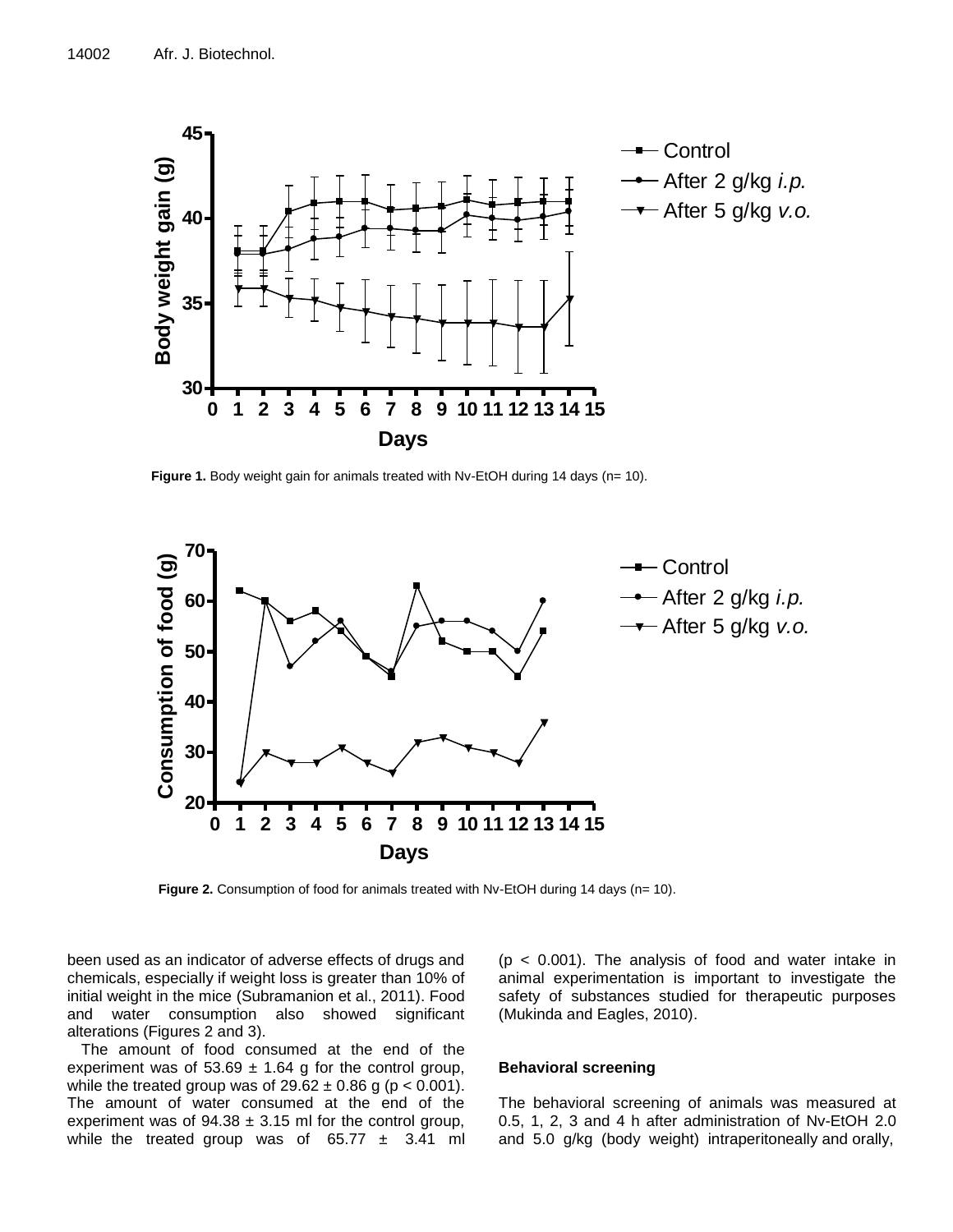

Figure 1. Body weight gain for animals treated with Nv-EtOH during 14 days (n= 10).



**Figure 2.** Consumption of food for animals treated with Nv-EtOH during 14 days (n= 10).

been used as an indicator of adverse effects of drugs and chemicals, especially if weight loss is greater than 10% of initial weight in the mice (Subramanion et al., 2011). Food and water consumption also showed significant alterations (Figures 2 and 3).

The amount of food consumed at the end of the experiment was of  $53.69 \pm 1.64$  g for the control group, while the treated group was of  $29.62 \pm 0.86$  g (p < 0.001). The amount of water consumed at the end of the experiment was of  $94.38 \pm 3.15$  ml for the control group, while the treated group was of  $65.77 \pm 3.41$  ml

 $(p < 0.001)$ . The analysis of food and water intake in animal experimentation is important to investigate the safety of substances studied for therapeutic purposes (Mukinda and Eagles, 2010).

## **Behavioral screening**

The behavioral screening of animals was measured at 0.5, 1, 2, 3 and 4 h after administration of Nv-EtOH 2.0 and 5.0 g/kg (body weight) intraperitoneally and orally,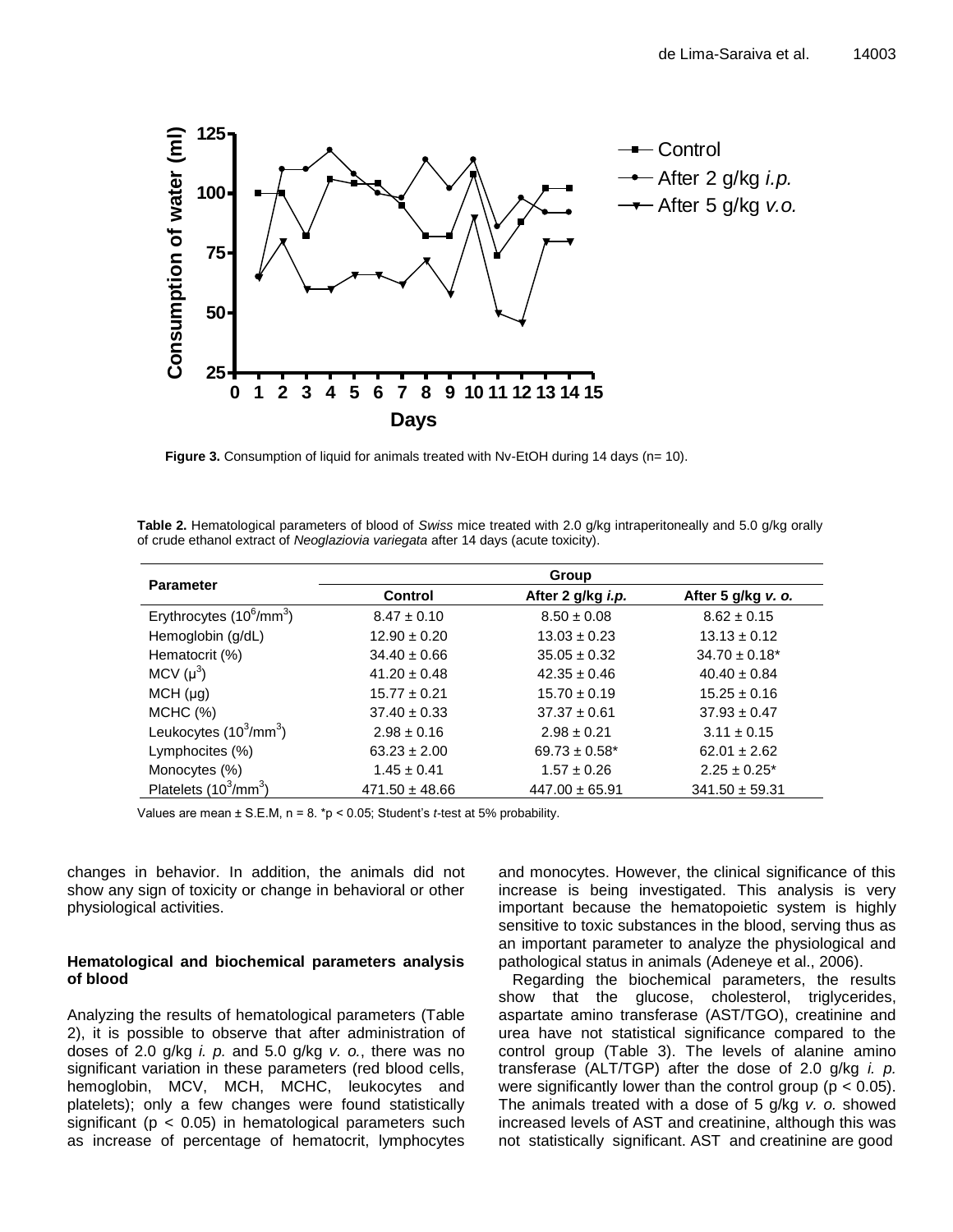

Figure 3. Consumption of liquid for animals treated with Nv-EtOH during 14 days (n= 10).

| Table 2. Hematological parameters of blood of Swiss mice treated with 2.0 g/kg intraperitoneally and 5.0 g/kg orally |  |
|----------------------------------------------------------------------------------------------------------------------|--|
| of crude ethanol extract of Neoglaziovia variegata after 14 days (acute toxicity).                                   |  |

| <b>Parameter</b>                                 | Group              |                    |                    |  |
|--------------------------------------------------|--------------------|--------------------|--------------------|--|
|                                                  | Control            | After 2 g/kg i.p.  | After 5 g/kg v. o. |  |
| Erythrocytes (10 <sup>6</sup> /mm <sup>3</sup> ) | $8.47 \pm 0.10$    | $8.50 \pm 0.08$    | $8.62 \pm 0.15$    |  |
| Hemoglobin (g/dL)                                | $12.90 \pm 0.20$   | $13.03 \pm 0.23$   | $13.13 \pm 0.12$   |  |
| Hematocrit (%)                                   | $34.40 \pm 0.66$   | $35.05 \pm 0.32$   | $34.70 \pm 0.18^*$ |  |
| MCV $(\mu^3)$                                    | $41.20 \pm 0.48$   | $42.35 \pm 0.46$   | $40.40 \pm 0.84$   |  |
| MCH (µg)                                         | $15.77 \pm 0.21$   | $15.70 \pm 0.19$   | $15.25 \pm 0.16$   |  |
| MCHC (%)                                         | $37.40 \pm 0.33$   | $37.37 \pm 0.61$   | $37.93 \pm 0.47$   |  |
| Leukocytes $(10^3/\text{mm}^3)$                  | $2.98 \pm 0.16$    | $2.98 \pm 0.21$    | $3.11 \pm 0.15$    |  |
| Lymphocites (%)                                  | $63.23 \pm 2.00$   | $69.73 \pm 0.58^*$ | $62.01 \pm 2.62$   |  |
| Monocytes (%)                                    | $1.45 \pm 0.41$    | $1.57 \pm 0.26$    | $2.25 \pm 0.25^*$  |  |
| Platelets $(10^3/\text{mm}^3)$                   | $471.50 \pm 48.66$ | $447.00 \pm 65.91$ | $341.50 \pm 59.31$ |  |

Values are mean ± S.E.M, n = 8. \*p < 0.05; Student's *t-*test at 5% probability.

changes in behavior. In addition, the animals did not show any sign of toxicity or change in behavioral or other physiological activities.

# **Hematological and biochemical parameters analysis of blood**

Analyzing the results of hematological parameters (Table 2), it is possible to observe that after administration of doses of 2.0 g/kg *i. p.* and 5.0 g/kg *v. o.*, there was no significant variation in these parameters (red blood cells, hemoglobin, MCV, MCH, MCHC, leukocytes and platelets); only a few changes were found statistically significant ( $p < 0.05$ ) in hematological parameters such as increase of percentage of hematocrit, lymphocytes

and monocytes. However, the clinical significance of this increase is being investigated. This analysis is very important because the hematopoietic system is highly sensitive to toxic substances in the blood, serving thus as an important parameter to analyze the physiological and pathological status in animals (Adeneye et al., 2006).

Regarding the biochemical parameters, the results show that the glucose, cholesterol, triglycerides, aspartate amino transferase (AST/TGO), creatinine and urea have not statistical significance compared to the control group (Table 3). The levels of alanine amino transferase (ALT/TGP) after the dose of 2.0 g/kg *i. p.* were significantly lower than the control group ( $p < 0.05$ ). The animals treated with a dose of 5 g/kg *v. o.* showed increased levels of AST and creatinine, although this was not statistically significant. AST and creatinine are good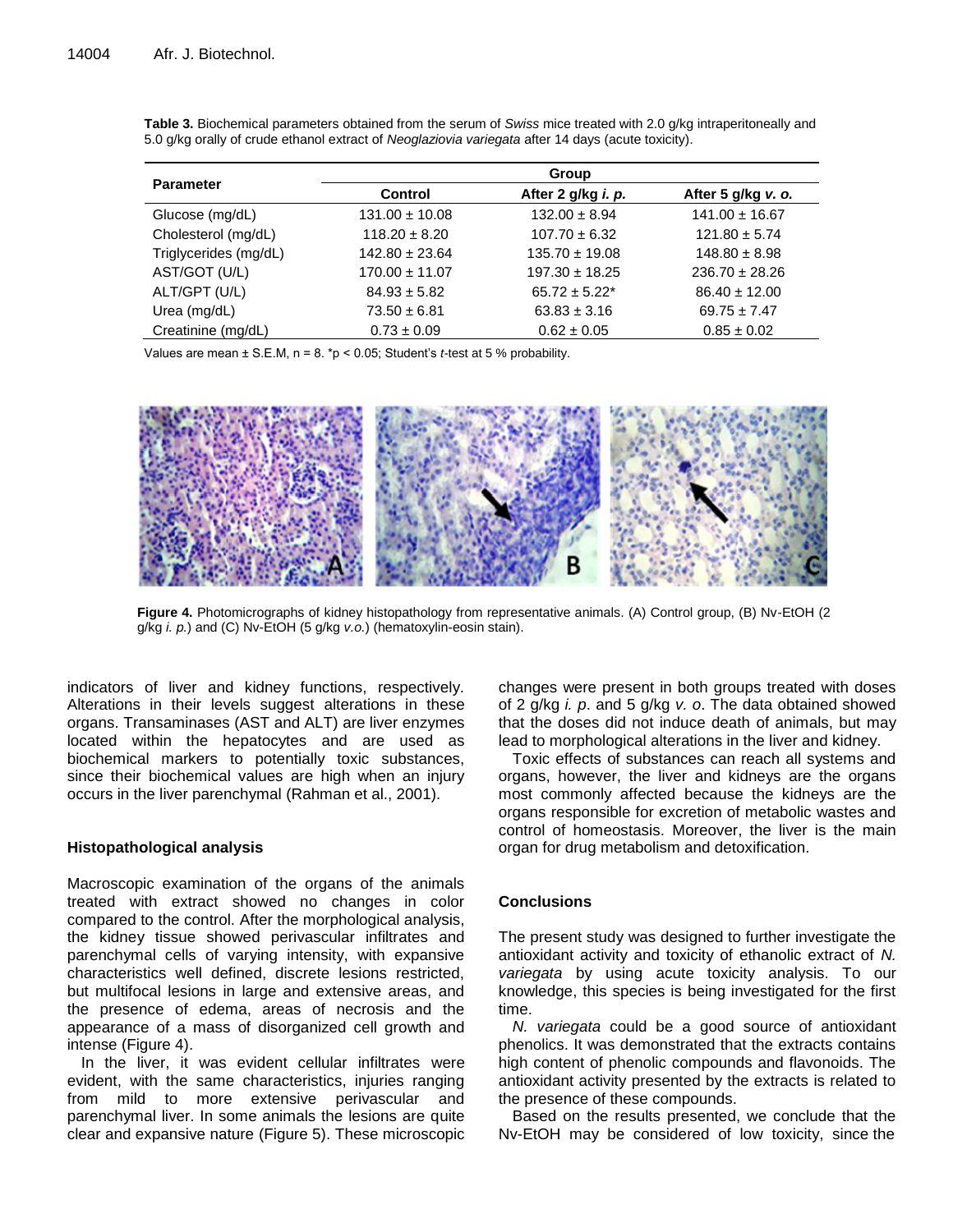|                       | Group              |                    |                    |  |
|-----------------------|--------------------|--------------------|--------------------|--|
| <b>Parameter</b>      | Control            | After 2 g/kg i. p. | After 5 g/kg v. o. |  |
| Glucose (mg/dL)       | $131.00 \pm 10.08$ | $132.00 \pm 8.94$  | $141.00 \pm 16.67$ |  |
| Cholesterol (mg/dL)   | $118.20 \pm 8.20$  | $107.70 \pm 6.32$  | $121.80 \pm 5.74$  |  |
| Triglycerides (mg/dL) | $142.80 \pm 23.64$ | $135.70 \pm 19.08$ | $148.80 \pm 8.98$  |  |
| AST/GOT (U/L)         | $170.00 \pm 11.07$ | $197.30 \pm 18.25$ | $236.70 \pm 28.26$ |  |
| ALT/GPT (U/L)         | $84.93 \pm 5.82$   | $65.72 \pm 5.22^*$ | $86.40 \pm 12.00$  |  |
| Urea (mg/dL)          | $73.50 \pm 6.81$   | $63.83 \pm 3.16$   | $69.75 \pm 7.47$   |  |
| Creatinine (mg/dL)    | $0.73 \pm 0.09$    | $0.62 \pm 0.05$    | $0.85 \pm 0.02$    |  |

**Table 3.** Biochemical parameters obtained from the serum of *Swiss* mice treated with 2.0 g/kg intraperitoneally and 5.0 g/kg orally of crude ethanol extract of *Neoglaziovia variegata* after 14 days (acute toxicity).

Values are mean ± S.E.M, n = 8. \*p < 0.05; Student's *t-*test at 5 % probability.



**Figure 4.** Photomicrographs of kidney histopathology from representative animals. (A) Control group, (B) Nv-EtOH (2 g/kg *i. p.*) and (C) Nv-EtOH (5 g/kg *v.o.*) (hematoxylin-eosin stain).

indicators of liver and kidney functions, respectively. Alterations in their levels suggest alterations in these organs. Transaminases (AST and ALT) are liver enzymes located within the hepatocytes and are used as biochemical markers to potentially toxic substances, since their biochemical values are high when an injury occurs in the liver parenchymal (Rahman et al., 2001).

# **Histopathological analysis**

Macroscopic examination of the organs of the animals treated with extract showed no changes in color compared to the control. After the morphological analysis, the kidney tissue showed perivascular infiltrates and parenchymal cells of varying intensity, with expansive characteristics well defined, discrete lesions restricted, but multifocal lesions in large and extensive areas, and the presence of edema, areas of necrosis and the appearance of a mass of disorganized cell growth and intense (Figure 4).

In the liver, it was evident cellular infiltrates were evident, with the same characteristics, injuries ranging from mild to more extensive perivascular and parenchymal liver. In some animals the lesions are quite clear and expansive nature (Figure 5). These microscopic

changes were present in both groups treated with doses of 2 g/kg *i. p*. and 5 g/kg *v. o*. The data obtained showed that the doses did not induce death of animals, but may lead to morphological alterations in the liver and kidney.

Toxic effects of substances can reach all systems and organs, however, the liver and kidneys are the organs most commonly affected because the kidneys are the organs responsible for excretion of metabolic wastes and control of homeostasis. Moreover, the liver is the main organ for drug metabolism and detoxification.

# **Conclusions**

The present study was designed to further investigate the antioxidant activity and toxicity of ethanolic extract of *N. variegata* by using acute toxicity analysis. To our knowledge, this species is being investigated for the first time.

*N. variegata* could be a good source of antioxidant phenolics. It was demonstrated that the extracts contains high content of phenolic compounds and flavonoids. The antioxidant activity presented by the extracts is related to the presence of these compounds.

Based on the results presented, we conclude that the Nv-EtOH may be considered of low toxicity, since the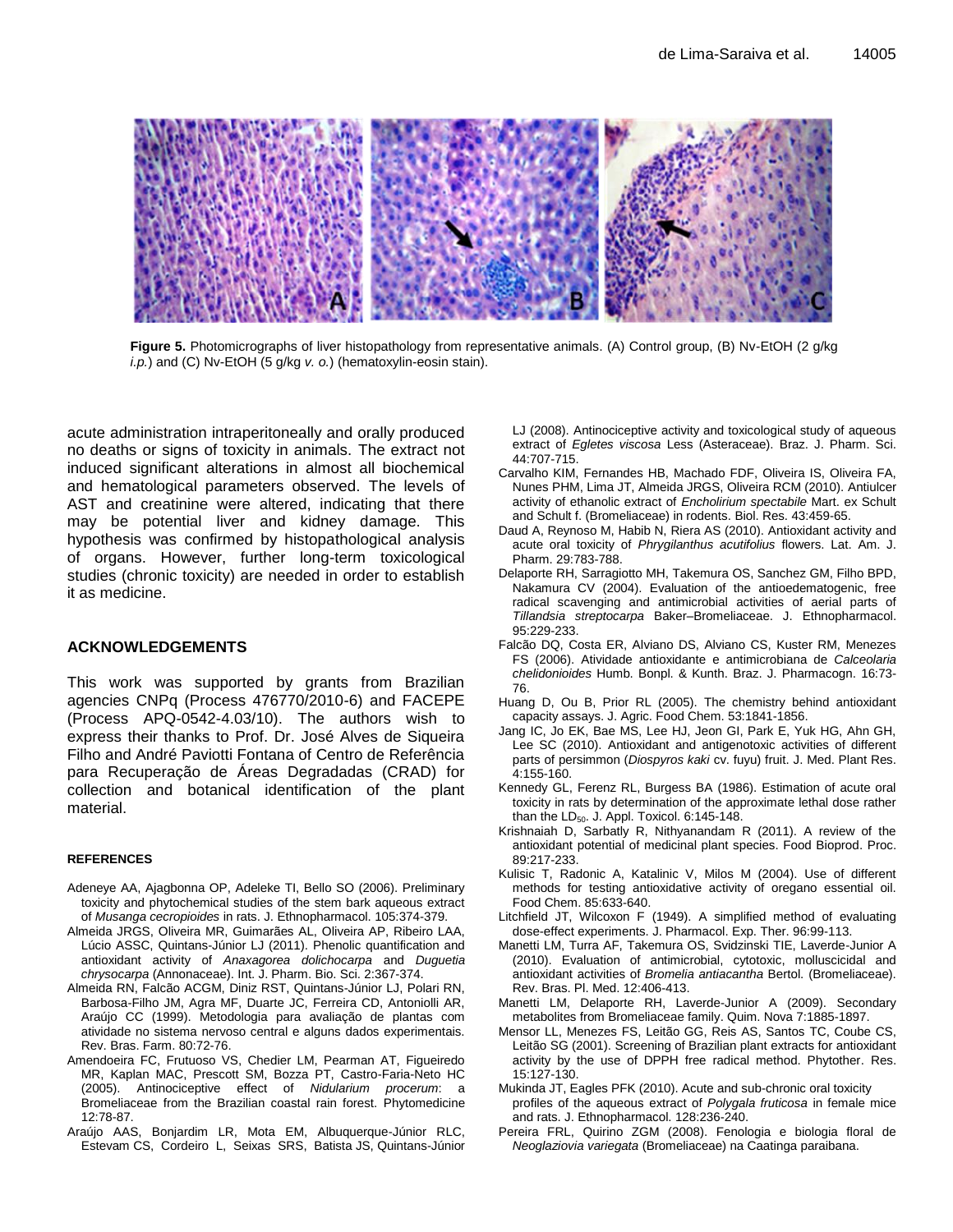

**Figure 5.** Photomicrographs of liver histopathology from representative animals. (A) Control group, (B) Nv-EtOH (2 g/kg *i.p.*) and (C) Nv-EtOH (5 g/kg *v. o.*) (hematoxylin-eosin stain).

acute administration intraperitoneally and orally produced no deaths or signs of toxicity in animals. The extract not induced significant alterations in almost all biochemical and hematological parameters observed. The levels of AST and creatinine were altered, indicating that there may be potential liver and kidney damage. This hypothesis was confirmed by histopathological analysis of organs. However, further long-term toxicological studies (chronic toxicity) are needed in order to establish it as medicine.

## **ACKNOWLEDGEMENTS**

This work was supported by grants from Brazilian agencies CNPq (Process 476770/2010-6) and FACEPE (Process APQ-0542-4.03/10). The authors wish to express their thanks to Prof. Dr. José Alves de Siqueira Filho and André Paviotti Fontana of Centro de Referência para Recuperação de Áreas Degradadas (CRAD) for collection and botanical identification of the plant material.

#### **REFERENCES**

- Adeneye AA, Ajagbonna OP, Adeleke TI, Bello SO (2006). Preliminary toxicity and phytochemical studies of the stem bark aqueous extract of *Musanga cecropioides* in rats. J. Ethnopharmacol. 105:374-379.
- Almeida JRGS, Oliveira MR, Guimarães AL, Oliveira AP, Ribeiro LAA, Lúcio ASSC, Quintans-Júnior LJ (2011). Phenolic quantification and antioxidant activity of *Anaxagorea dolichocarpa* and *Duguetia chrysocarpa* (Annonaceae). Int. J. Pharm. Bio. Sci. 2:367-374.
- Almeida RN, Falcão ACGM, Diniz RST, Quintans-Júnior LJ, Polari RN, Barbosa-Filho JM, Agra MF, Duarte JC, Ferreira CD, Antoniolli AR, Araújo CC (1999). Metodologia para avaliação de plantas com atividade no sistema nervoso central e alguns dados experimentais. Rev. Bras. Farm. 80:72-76.
- Amendoeira FC, Frutuoso VS, Chedier LM, Pearman AT, Figueiredo MR, Kaplan MAC, Prescott SM, Bozza PT, Castro-Faria-Neto HC (2005). Antinociceptive effect of *Nidularium procerum*: a Bromeliaceae from the Brazilian coastal rain forest. Phytomedicine 12:78-87.
- Araújo AAS, Bonjardim LR, Mota EM, Albuquerque-Júnior RLC, Estevam CS, Cordeiro L, Seixas SRS, Batista JS, Quintans-Júnior

LJ (2008). Antinociceptive activity and toxicological study of aqueous extract of *Egletes viscosa* Less (Asteraceae). Braz. J. Pharm. Sci. 44:707-715.

- Carvalho KIM, Fernandes HB, Machado FDF, Oliveira IS, Oliveira FA, Nunes PHM, Lima JT, Almeida JRGS, Oliveira RCM (2010). Antiulcer activity of ethanolic extract of *Encholirium spectabile* Mart. ex Schult and Schult f. (Bromeliaceae) in rodents. Biol. Res. 43:459-65.
- Daud A, Reynoso M, Habib N, Riera AS (2010). Antioxidant activity and acute oral toxicity of *Phrygilanthus acutifolius* flowers. Lat. Am. J. Pharm. 29:783-788.
- Delaporte RH, Sarragiotto MH, Takemura OS, Sanchez GM, Filho BPD, Nakamura CV (2004). Evaluation of the antioedematogenic, free radical scavenging and antimicrobial activities of aerial parts of *Tillandsia streptocarpa* Baker–Bromeliaceae. J. Ethnopharmacol. 95:229-233.
- Falcão DQ, Costa ER, Alviano DS, Alviano CS, Kuster RM, Menezes FS (2006). Atividade antioxidante e antimicrobiana de *Calceolaria chelidonioides* Humb. Bonpl. & Kunth. Braz. J. Pharmacogn. 16:73- 76.
- Huang D, Ou B, Prior RL (2005). The chemistry behind antioxidant capacity assays. J. Agric. Food Chem. 53:1841-1856.
- Jang IC, Jo EK, Bae MS, Lee HJ, Jeon GI, Park E, Yuk HG, Ahn GH, Lee SC (2010). Antioxidant and antigenotoxic activities of different parts of persimmon (*Diospyros kaki* cv. fuyu) fruit. J. Med. Plant Res. 4:155-160.
- Kennedy GL, Ferenz RL, Burgess BA (1986). Estimation of acute oral toxicity in rats by determination of the approximate lethal dose rather than the  $LD_{50}$ . J. Appl. Toxicol. 6:145-148.
- Krishnaiah D, Sarbatly R, Nithyanandam R (2011). A review of the antioxidant potential of medicinal plant species. Food Bioprod. Proc. 89:217-233.
- Kulisic T, Radonic A, Katalinic V, Milos M (2004). Use of different methods for testing antioxidative activity of oregano essential oil. Food Chem. 85:633-640.
- Litchfield JT, Wilcoxon F (1949). A simplified method of evaluating dose-effect experiments. J. Pharmacol. Exp. Ther. 96:99-113.
- Manetti LM, Turra AF, Takemura OS, Svidzinski TIE, Laverde-Junior A (2010). Evaluation of antimicrobial, cytotoxic, molluscicidal and antioxidant activities of *Bromelia antiacantha* Bertol. (Bromeliaceae). Rev. Bras. Pl. Med. 12:406-413.
- Manetti LM, Delaporte RH, Laverde-Junior A (2009). Secondary metabolites from Bromeliaceae family. Quim. Nova 7:1885-1897.
- Mensor LL, Menezes FS, Leitão GG, Reis AS, Santos TC, Coube CS, Leitão SG (2001). Screening of Brazilian plant extracts for antioxidant activity by the use of DPPH free radical method. Phytother. Res. 15:127-130.
- Mukinda JT, Eagles PFK (2010). Acute and sub-chronic oral toxicity profiles of the aqueous extract of *Polygala fruticosa* in female mice and rats. J. Ethnopharmacol. 128:236-240.
- Pereira FRL, Quirino ZGM (2008). Fenologia e biologia floral de *Neoglaziovia variegata* (Bromeliaceae) na Caatinga paraibana.